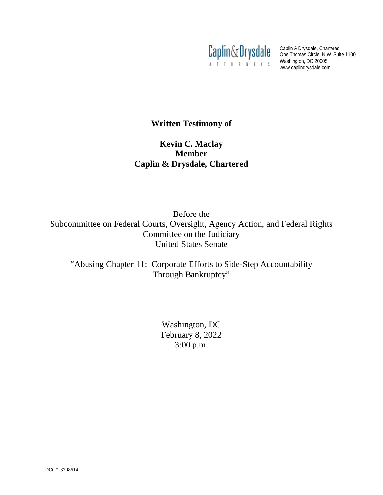

Caplin & Drysdale, Chartered One Thomas Circle, N.W. Suite 1100 Washington, DC 20005 www.caplindrysdale.com

# **Written Testimony of**

# **Kevin C. Maclay Member Caplin & Drysdale, Chartered**

Before the Subcommittee on Federal Courts, Oversight, Agency Action, and Federal Rights Committee on the Judiciary United States Senate

"Abusing Chapter 11: Corporate Efforts to Side-Step Accountability Through Bankruptcy"

> Washington, DC February 8, 2022 3:00 p.m.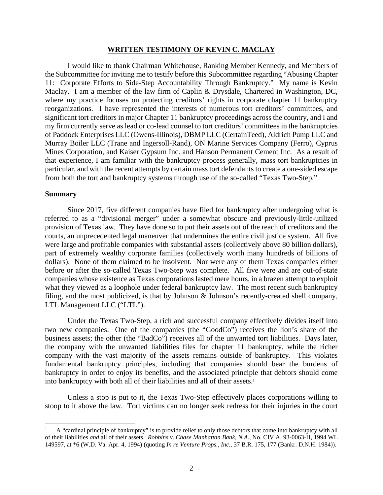#### **WRITTEN TESTIMONY OF KEVIN C. MACLAY**

I would like to thank Chairman Whitehouse, Ranking Member Kennedy, and Members of the Subcommittee for inviting me to testify before this Subcommittee regarding "Abusing Chapter 11: Corporate Efforts to Side-Step Accountability Through Bankruptcy." My name is Kevin Maclay. I am a member of the law firm of Caplin & Drysdale, Chartered in Washington, DC, where my practice focuses on protecting creditors' rights in corporate chapter 11 bankruptcy reorganizations. I have represented the interests of numerous tort creditors' committees, and significant tort creditors in major Chapter 11 bankruptcy proceedings across the country, and I and my firm currently serve as lead or co-lead counsel to tort creditors' committees in the bankruptcies of Paddock Enterprises LLC (Owens-Illinois), DBMP LLC (CertainTeed), Aldrich Pump LLC and Murray Boiler LLC (Trane and Ingersoll-Rand), ON Marine Services Company (Ferro), Cyprus Mines Corporation, and Kaiser Gypsum Inc. and Hanson Permanent Cement Inc. As a result of that experience, I am familiar with the bankruptcy process generally, mass tort bankruptcies in particular, and with the recent attempts by certain mass tort defendants to create a one-sided escape from both the tort and bankruptcy systems through use of the so-called "Texas Two-Step."

#### **Summary**

Since 2017, five different companies have filed for bankruptcy after undergoing what is referred to as a "divisional merger" under a somewhat obscure and previously-little-utilized provision of Texas law. They have done so to put their assets out of the reach of creditors and the courts, an unprecedented legal maneuver that undermines the entire civil justice system. All five were large and profitable companies with substantial assets (collectively above 80 billion dollars), part of extremely wealthy corporate families (collectively worth many hundreds of billions of dollars). None of them claimed to be insolvent. Nor were any of them Texas companies either before or after the so-called Texas Two-Step was complete. All five were and are out-of-state companies whose existence as Texas corporations lasted mere hours, in a brazen attempt to exploit what they viewed as a loophole under federal bankruptcy law. The most recent such bankruptcy filing, and the most publicized, is that by Johnson & Johnson's recently-created shell company, LTL Management LLC ("LTL").

Under the Texas Two-Step, a rich and successful company effectively divides itself into two new companies. One of the companies (the "GoodCo") receives the lion's share of the business assets; the other (the "BadCo") receives all of the unwanted tort liabilities. Days later, the company with the unwanted liabilities files for chapter 11 bankruptcy, while the richer company with the vast majority of the assets remains outside of bankruptcy. This violates fundamental bankruptcy principles, including that companies should bear the burdens of bankruptcy in order to enjoy its benefits, and the associated principle that debtors should come into bankruptcy with both all of their liabilities and all of their assets.<sup>1</sup>

Unless a stop is put to it, the Texas Two-Step effectively places corporations willing to stoop to it above the law. Tort victims can no longer seek redress for their injuries in the court

 <sup>1</sup> A "cardinal principle of bankruptcy" is to provide relief to only those debtors that come into bankruptcy with all of their liabilities *and* all of their assets. *Robbins v. Chase Manhattan Bank, N.A.*, No. CIV A. 93-0063-H, 1994 WL 149597, at \*6 (W.D. Va. Apr. 4, 1994) (quoting *In re Venture Props., Inc.*, 37 B.R. 175, 177 (Bankr. D.N.H. 1984)).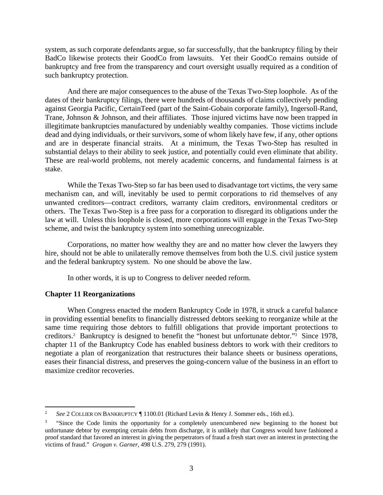system, as such corporate defendants argue, so far successfully, that the bankruptcy filing by their BadCo likewise protects their GoodCo from lawsuits. Yet their GoodCo remains outside of bankruptcy and free from the transparency and court oversight usually required as a condition of such bankruptcy protection.

And there are major consequences to the abuse of the Texas Two-Step loophole. As of the dates of their bankruptcy filings, there were hundreds of thousands of claims collectively pending against Georgia Pacific, CertainTeed (part of the Saint-Gobain corporate family), Ingersoll-Rand, Trane, Johnson & Johnson, and their affiliates. Those injured victims have now been trapped in illegitimate bankruptcies manufactured by undeniably wealthy companies. Those victims include dead and dying individuals, or their survivors, some of whom likely have few, if any, other options and are in desperate financial straits. At a minimum, the Texas Two-Step has resulted in substantial delays to their ability to seek justice, and potentially could even eliminate that ability. These are real-world problems, not merely academic concerns, and fundamental fairness is at stake.

While the Texas Two-Step so far has been used to disadvantage tort victims, the very same mechanism can, and will, inevitably be used to permit corporations to rid themselves of any unwanted creditors—contract creditors, warranty claim creditors, environmental creditors or others. The Texas Two-Step is a free pass for a corporation to disregard its obligations under the law at will. Unless this loophole is closed, more corporations will engage in the Texas Two-Step scheme, and twist the bankruptcy system into something unrecognizable.

Corporations, no matter how wealthy they are and no matter how clever the lawyers they hire, should not be able to unilaterally remove themselves from both the U.S. civil justice system and the federal bankruptcy system. No one should be above the law.

In other words, it is up to Congress to deliver needed reform.

## **Chapter 11 Reorganizations**

When Congress enacted the modern Bankruptcy Code in 1978, it struck a careful balance in providing essential benefits to financially distressed debtors seeking to reorganize while at the same time requiring those debtors to fulfill obligations that provide important protections to creditors.2 Bankruptcy is designed to benefit the "honest but unfortunate debtor."3 Since 1978, chapter 11 of the Bankruptcy Code has enabled business debtors to work with their creditors to negotiate a plan of reorganization that restructures their balance sheets or business operations, eases their financial distress, and preserves the going-concern value of the business in an effort to maximize creditor recoveries.

 <sup>2</sup> *See* 2 COLLIER ON BANKRUPTCY ¶ 1100.01 (Richard Levin & Henry J. Sommer eds., 16th ed.).

<sup>3</sup> "Since the Code limits the opportunity for a completely unencumbered new beginning to the honest but unfortunate debtor by exempting certain debts from discharge, it is unlikely that Congress would have fashioned a proof standard that favored an interest in giving the perpetrators of fraud a fresh start over an interest in protecting the victims of fraud." *Grogan v. Garner*, 498 U.S. 279, 279 (1991).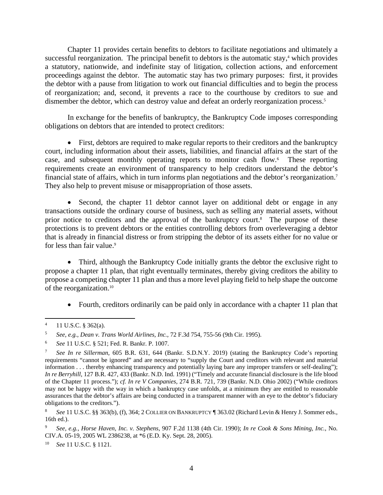Chapter 11 provides certain benefits to debtors to facilitate negotiations and ultimately a successful reorganization. The principal benefit to debtors is the automatic stay, $4$  which provides a statutory, nationwide, and indefinite stay of litigation, collection actions, and enforcement proceedings against the debtor. The automatic stay has two primary purposes: first, it provides the debtor with a pause from litigation to work out financial difficulties and to begin the process of reorganization; and, second, it prevents a race to the courthouse by creditors to sue and dismember the debtor, which can destroy value and defeat an orderly reorganization process.<sup>5</sup>

In exchange for the benefits of bankruptcy, the Bankruptcy Code imposes corresponding obligations on debtors that are intended to protect creditors:

• First, debtors are required to make regular reports to their creditors and the bankruptcy court, including information about their assets, liabilities, and financial affairs at the start of the case, and subsequent monthly operating reports to monitor cash flow. 6 These reporting requirements create an environment of transparency to help creditors understand the debtor's financial state of affairs, which in turn informs plan negotiations and the debtor's reorganization.7 They also help to prevent misuse or misappropriation of those assets.

• Second, the chapter 11 debtor cannot layer on additional debt or engage in any transactions outside the ordinary course of business, such as selling any material assets, without prior notice to creditors and the approval of the bankruptcy court.<sup>8</sup> The purpose of these protections is to prevent debtors or the entities controlling debtors from overleveraging a debtor that is already in financial distress or from stripping the debtor of its assets either for no value or for less than fair value.<sup>9</sup>

• Third, although the Bankruptcy Code initially grants the debtor the exclusive right to propose a chapter 11 plan, that right eventually terminates, thereby giving creditors the ability to propose a competing chapter 11 plan and thus a more level playing field to help shape the outcome of the reorganization. 10

• Fourth, creditors ordinarily can be paid only in accordance with a chapter 11 plan that

<sup>10</sup> *See* 11 U.S.C. § 1121.

 $4$  11 U.S.C. § 362(a).

<sup>5</sup> *See, e.g.*, *Dean v. Trans World Airlines, Inc.*, 72 F.3d 754, 755-56 (9th Cir. 1995).

<sup>6</sup> *See* 11 U.S.C. § 521; Fed. R. Bankr. P. 1007.

<sup>7</sup> *See In re Sillerman*, 605 B.R. 631, 644 (Bankr. S.D.N.Y. 2019) (stating the Bankruptcy Code's reporting requirements "cannot be ignored" and are necessary to "supply the Court and creditors with relevant and material information . . . thereby enhancing transparency and potentially laying bare any improper transfers or self-dealing"); *In re Berryhill*, 127 B.R. 427, 433 (Bankr. N.D. Ind. 1991) ("Timely and accurate financial disclosure is the life blood of the Chapter 11 process."); *cf. In re V Companies*, 274 B.R. 721, 739 (Bankr. N.D. Ohio 2002) ("While creditors may not be happy with the way in which a bankruptcy case unfolds, at a minimum they are entitled to reasonable assurances that the debtor's affairs are being conducted in a transparent manner with an eye to the debtor's fiduciary obligations to the creditors.").

<sup>8</sup> *See* 11 U.S.C. §§ 363(b), (f), 364; 2 COLLIER ON BANKRUPTCY ¶ 363.02 (Richard Levin & Henry J. Sommer eds., 16th ed.).

<sup>9</sup> *See, e.g.*, *Horse Haven, Inc. v. Stephens*, 907 F.2d 1138 (4th Cir. 1990); *In re Cook & Sons Mining, Inc.*, No. CIV.A. 05-19, 2005 WL 2386238, at \*6 (E.D. Ky. Sept. 28, 2005).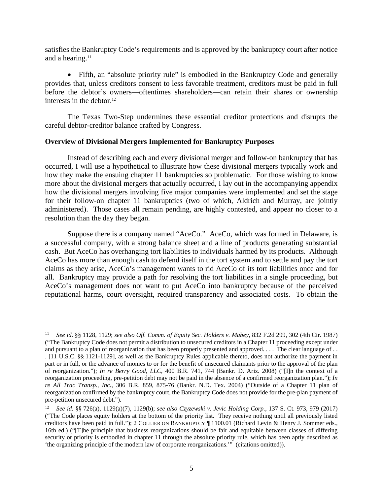satisfies the Bankruptcy Code's requirements and is approved by the bankruptcy court after notice and a hearing.<sup>11</sup>

• Fifth, an "absolute priority rule" is embodied in the Bankruptcy Code and generally provides that, unless creditors consent to less favorable treatment, creditors must be paid in full before the debtor's owners—oftentimes shareholders—can retain their shares or ownership interests in the debtor.<sup>12</sup>

The Texas Two-Step undermines these essential creditor protections and disrupts the careful debtor-creditor balance crafted by Congress.

#### **Overview of Divisional Mergers Implemented for Bankruptcy Purposes**

Instead of describing each and every divisional merger and follow-on bankruptcy that has occurred, I will use a hypothetical to illustrate how these divisional mergers typically work and how they make the ensuing chapter 11 bankruptcies so problematic. For those wishing to know more about the divisional mergers that actually occurred, I lay out in the accompanying appendix how the divisional mergers involving five major companies were implemented and set the stage for their follow-on chapter 11 bankruptcies (two of which, Aldrich and Murray, are jointly administered). Those cases all remain pending, are highly contested, and appear no closer to a resolution than the day they began.

Suppose there is a company named "AceCo." AceCo, which was formed in Delaware, is a successful company, with a strong balance sheet and a line of products generating substantial cash. But AceCo has overhanging tort liabilities to individuals harmed by its products. Although AceCo has more than enough cash to defend itself in the tort system and to settle and pay the tort claims as they arise, AceCo's management wants to rid AceCo of its tort liabilities once and for all. Bankruptcy may provide a path for resolving the tort liabilities in a single proceeding, but AceCo's management does not want to put AceCo into bankruptcy because of the perceived reputational harms, court oversight, required transparency and associated costs. To obtain the

 <sup>11</sup> *See id*. §§ 1128, 1129; *see also Off. Comm. of Equity Sec. Holders v. Mabey*, 832 F.2d 299, 302 (4th Cir. 1987) ("The Bankruptcy Code does not permit a distribution to unsecured creditors in a Chapter 11 proceeding except under and pursuant to a plan of reorganization that has been properly presented and approved. . . . The clear language of . . . [11 U.S.C. §§ 1121-1129], as well as the Bankruptcy Rules applicable thereto, does not authorize the payment in part or in full, or the advance of monies to or for the benefit of unsecured claimants prior to the approval of the plan of reorganization."); *In re Berry Good, LLC*, 400 B.R. 741, 744 (Bankr. D. Ariz. 2008) ("[I]n the context of a reorganization proceeding, pre-petition debt may not be paid in the absence of a confirmed reorganization plan."); *In re All Trac Transp., Inc.*, 306 B.R. 859, 875-76 (Bankr. N.D. Tex. 2004) ("Outside of a Chapter 11 plan of reorganization confirmed by the bankruptcy court, the Bankruptcy Code does not provide for the pre-plan payment of pre-petition unsecured debt.").

<sup>12</sup> *See id*. §§ 726(a), 1129(a)(7), 1129(b); *see also Czyzewski v. Jevic Holding Corp.*, 137 S. Ct. 973, 979 (2017) ("The Code places equity holders at the bottom of the priority list. They receive nothing until all previously listed creditors have been paid in full."); 2 COLLIER ON BANKRUPTCY ¶ 1100.01 (Richard Levin & Henry J. Sommer eds., 16th ed.) ("[T]he principle that business reorganizations should be fair and equitable between classes of differing security or priority is embodied in chapter 11 through the absolute priority rule, which has been aptly described as 'the organizing principle of the modern law of corporate reorganizations.'" (citations omitted)).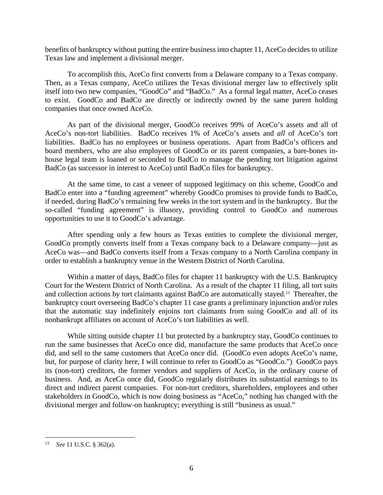benefits of bankruptcy without putting the entire business into chapter 11, AceCo decides to utilize Texas law and implement a divisional merger.

To accomplish this, AceCo first converts from a Delaware company to a Texas company. Then, as a Texas company, AceCo utilizes the Texas divisional merger law to effectively split itself into two new companies, "GoodCo" and "BadCo." As a formal legal matter, AceCo ceases to exist. GoodCo and BadCo are directly or indirectly owned by the same parent holding companies that once owned AceCo.

As part of the divisional merger, GoodCo receives 99% of AceCo's assets and all of AceCo's non-tort liabilities. BadCo receives 1% of AceCo's assets and *all* of AceCo's tort liabilities. BadCo has no employees or business operations. Apart from BadCo's officers and board members, who are also employees of GoodCo or its parent companies, a bare-bones inhouse legal team is loaned or seconded to BadCo to manage the pending tort litigation against BadCo (as successor in interest to AceCo) until BadCo files for bankruptcy.

At the same time, to cast a veneer of supposed legitimacy on this scheme, GoodCo and BadCo enter into a "funding agreement" whereby GoodCo promises to provide funds to BadCo, if needed, during BadCo's remaining few weeks in the tort system and in the bankruptcy. But the so-called "funding agreement" is illusory, providing control to GoodCo and numerous opportunities to use it to GoodCo's advantage.

After spending only a few hours as Texas entities to complete the divisional merger, GoodCo promptly converts itself from a Texas company back to a Delaware company—just as AceCo was—and BadCo converts itself from a Texas company to a North Carolina company in order to establish a bankruptcy venue in the Western District of North Carolina.

Within a matter of days, BadCo files for chapter 11 bankruptcy with the U.S. Bankruptcy Court for the Western District of North Carolina. As a result of the chapter 11 filing, all tort suits and collection actions by tort claimants against BadCo are automatically stayed.13 Thereafter, the bankruptcy court overseeing BadCo's chapter 11 case grants a preliminary injunction and/or rules that the automatic stay indefinitely enjoins tort claimants from suing GoodCo and all of its nonbankrupt affiliates on account of AceCo's tort liabilities as well.

While sitting outside chapter 11 but protected by a bankruptcy stay, GoodCo continues to run the same businesses that AceCo once did, manufacture the same products that AceCo once did, and sell to the same customers that AceCo once did. (GoodCo even adopts AceCo's name, but, for purpose of clarity here, I will continue to refer to GoodCo as "GoodCo.") GoodCo pays its (non-tort) creditors, the former vendors and suppliers of AceCo, in the ordinary course of business. And, as AceCo once did, GoodCo regularly distributes its substantial earnings to its direct and indirect parent companies. For non-tort creditors, shareholders, employees and other stakeholders in GoodCo, which is now doing business as "AceCo," nothing has changed with the divisional merger and follow-on bankruptcy; everything is still "business as usual."

 <sup>13</sup> *See* 11 U.S.C. § 362(a).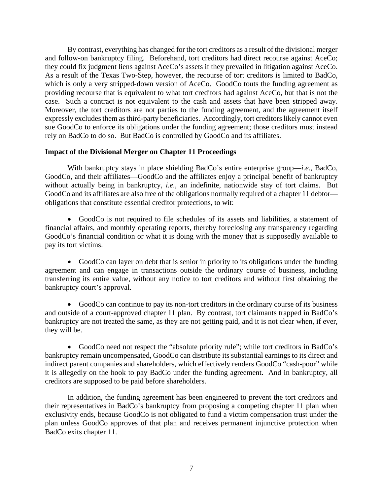By contrast, everything has changed for the tort creditors as a result of the divisional merger and follow-on bankruptcy filing. Beforehand, tort creditors had direct recourse against AceCo; they could fix judgment liens against AceCo's assets if they prevailed in litigation against AceCo. As a result of the Texas Two-Step, however, the recourse of tort creditors is limited to BadCo, which is only a very stripped-down version of AceCo. GoodCo touts the funding agreement as providing recourse that is equivalent to what tort creditors had against AceCo, but that is not the case. Such a contract is not equivalent to the cash and assets that have been stripped away. Moreover, the tort creditors are not parties to the funding agreement, and the agreement itself expressly excludes them as third-party beneficiaries. Accordingly, tort creditors likely cannot even sue GoodCo to enforce its obligations under the funding agreement; those creditors must instead rely on BadCo to do so. But BadCo is controlled by GoodCo and its affiliates.

## **Impact of the Divisional Merger on Chapter 11 Proceedings**

With bankruptcy stays in place shielding BadCo's entire enterprise group—*i.e.*, BadCo, GoodCo, and their affiliates—GoodCo and the affiliates enjoy a principal benefit of bankruptcy without actually being in bankruptcy, *i.e.*, an indefinite, nationwide stay of tort claims. But GoodCo and its affiliates are also free of the obligations normally required of a chapter 11 debtor obligations that constitute essential creditor protections, to wit:

• GoodCo is not required to file schedules of its assets and liabilities, a statement of financial affairs, and monthly operating reports, thereby foreclosing any transparency regarding GoodCo's financial condition or what it is doing with the money that is supposedly available to pay its tort victims.

• GoodCo can layer on debt that is senior in priority to its obligations under the funding agreement and can engage in transactions outside the ordinary course of business, including transferring its entire value, without any notice to tort creditors and without first obtaining the bankruptcy court's approval.

• GoodCo can continue to pay its non-tort creditors in the ordinary course of its business and outside of a court-approved chapter 11 plan. By contrast, tort claimants trapped in BadCo's bankruptcy are not treated the same, as they are not getting paid, and it is not clear when, if ever, they will be.

• GoodCo need not respect the "absolute priority rule"; while tort creditors in BadCo's bankruptcy remain uncompensated, GoodCo can distribute its substantial earnings to its direct and indirect parent companies and shareholders, which effectively renders GoodCo "cash-poor" while it is allegedly on the hook to pay BadCo under the funding agreement. And in bankruptcy, all creditors are supposed to be paid before shareholders.

In addition, the funding agreement has been engineered to prevent the tort creditors and their representatives in BadCo's bankruptcy from proposing a competing chapter 11 plan when exclusivity ends, because GoodCo is not obligated to fund a victim compensation trust under the plan unless GoodCo approves of that plan and receives permanent injunctive protection when BadCo exits chapter 11.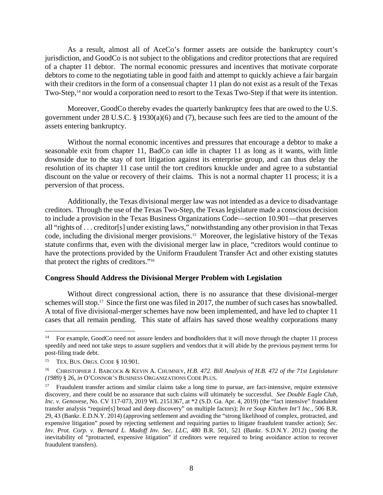As a result, almost all of AceCo's former assets are outside the bankruptcy court's jurisdiction, and GoodCo is not subject to the obligations and creditor protections that are required of a chapter 11 debtor. The normal economic pressures and incentives that motivate corporate debtors to come to the negotiating table in good faith and attempt to quickly achieve a fair bargain with their creditors in the form of a consensual chapter 11 plan do not exist as a result of the Texas Two-Step,<sup>14</sup> nor would a corporation need to resort to the Texas Two-Step if that were its intention.

Moreover, GoodCo thereby evades the quarterly bankruptcy fees that are owed to the U.S. government under 28 U.S.C. § 1930(a)(6) and (7), because such fees are tied to the amount of the assets entering bankruptcy.

Without the normal economic incentives and pressures that encourage a debtor to make a seasonable exit from chapter 11, BadCo can idle in chapter 11 as long as it wants, with little downside due to the stay of tort litigation against its enterprise group, and can thus delay the resolution of its chapter 11 case until the tort creditors knuckle under and agree to a substantial discount on the value or recovery of their claims. This is not a normal chapter 11 process; it is a perversion of that process.

Additionally, the Texas divisional merger law was not intended as a device to disadvantage creditors. Through the use of the Texas Two-Step, the Texas legislature made a conscious decision to include a provision in the Texas Business Organizations Code—section 10.901—that preserves all "rights of . . . creditor[s] under existing laws," notwithstanding any other provision in that Texas code, including the divisional merger provisions.15 Moreover, the legislative history of the Texas statute confirms that, even with the divisional merger law in place, "creditors would continue to have the protections provided by the Uniform Fraudulent Transfer Act and other existing statutes that protect the rights of creditors."16

## **Congress Should Address the Divisional Merger Problem with Legislation**

Without direct congressional action, there is no assurance that these divisional-merger schemes will stop.<sup>17</sup> Since the first one was filed in 2017, the number of such cases has snowballed. A total of five divisional-merger schemes have now been implemented, and have led to chapter 11 cases that all remain pending. This state of affairs has saved those wealthy corporations many

<sup>&</sup>lt;sup>14</sup> For example, GoodCo need not assure lenders and bondholders that it will move through the chapter 11 process speedily and need not take steps to assure suppliers and vendors that it will abide by the previous payment terms for post-filing trade debt.

<sup>15</sup> TEX. BUS. ORGS. CODE § 10.901.

<sup>16</sup> CHRISTOPHER J. BABCOCK & KEVIN A. CHUMNEY, *H.B. 472. Bill Analysis of H.B. 472 of the 71st Legislature (1989)* § 26, *in* O'CONNOR'S BUSINESS ORGANIZATIONS CODE PLUS.

<sup>&</sup>lt;sup>17</sup> Fraudulent transfer actions and similar claims take a long time to pursue, are fact-intensive, require extensive discovery, and there could be no assurance that such claims will ultimately be successful. *See Double Eagle Club, Inc. v. Genovese*, No. CV 117-073, 2019 WL 2151367, at \*2 (S.D. Ga. Apr. 4, 2019) (the "fact intensive" fraudulent transfer analysis "require[s] broad and deep discovery" on multiple factors); *In re Soup Kitchen Int'l Inc.*, 506 B.R. 29, 43 (Bankr. E.D.N.Y. 2014) (approving settlement and avoiding the "strong likelihood of complex, protracted, and expensive litigation" posed by rejecting settlement and requiring parties to litigate fraudulent transfer action); *Sec. Inv. Prot. Corp. v. Bernard L. Madoff Inv. Sec. LLC*, 480 B.R. 501, 521 (Bankr. S.D.N.Y. 2012) (noting the inevitability of "protracted, expensive litigation" if creditors were required to bring avoidance action to recover fraudulent transfers).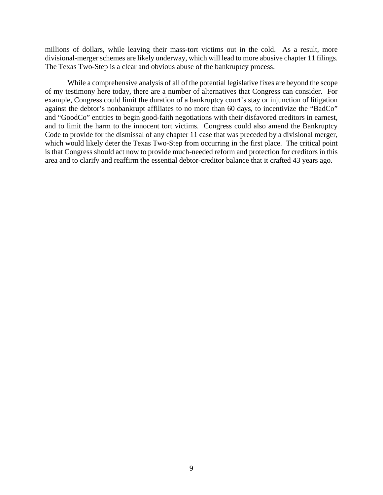millions of dollars, while leaving their mass-tort victims out in the cold. As a result, more divisional-merger schemes are likely underway, which will lead to more abusive chapter 11 filings. The Texas Two-Step is a clear and obvious abuse of the bankruptcy process.

While a comprehensive analysis of all of the potential legislative fixes are beyond the scope of my testimony here today, there are a number of alternatives that Congress can consider. For example, Congress could limit the duration of a bankruptcy court's stay or injunction of litigation against the debtor's nonbankrupt affiliates to no more than 60 days, to incentivize the "BadCo" and "GoodCo" entities to begin good-faith negotiations with their disfavored creditors in earnest, and to limit the harm to the innocent tort victims. Congress could also amend the Bankruptcy Code to provide for the dismissal of any chapter 11 case that was preceded by a divisional merger, which would likely deter the Texas Two-Step from occurring in the first place. The critical point is that Congress should act now to provide much-needed reform and protection for creditors in this area and to clarify and reaffirm the essential debtor-creditor balance that it crafted 43 years ago.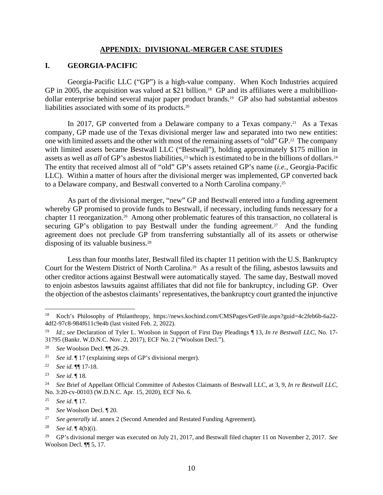#### **APPENDIX: DIVISIONAL-MERGER CASE STUDIES**

#### **I. GEORGIA-PACIFIC**

Georgia-Pacific LLC ("GP") is a high-value company. When Koch Industries acquired GP in 2005, the acquisition was valued at \$21 billion.<sup>18</sup> GP and its affiliates were a multibilliondollar enterprise behind several major paper product brands.19 GP also had substantial asbestos liabilities associated with some of its products.20

In 2017, GP converted from a Delaware company to a Texas company.<sup>21</sup> As a Texas company, GP made use of the Texas divisional merger law and separated into two new entities: one with limited assets and the other with most of the remaining assets of "old" GP.22 The company with limited assets became Bestwall LLC ("Bestwall"), holding approximately \$175 million in assets as well as *all* of GP's asbestos liabilities,<sup>23</sup> which is estimated to be in the billions of dollars.<sup>24</sup> The entity that received almost all of "old" GP's assets retained GP's name (*i.e.*, Georgia-Pacific LLC). Within a matter of hours after the divisional merger was implemented, GP converted back to a Delaware company, and Bestwall converted to a North Carolina company.25

As part of the divisional merger, "new" GP and Bestwall entered into a funding agreement whereby GP promised to provide funds to Bestwall, if necessary, including funds necessary for a chapter 11 reorganization.26 Among other problematic features of this transaction, no collateral is securing GP's obligation to pay Bestwall under the funding agreement.<sup>27</sup> And the funding agreement does not preclude GP from transferring substantially all of its assets or otherwise disposing of its valuable business.<sup>28</sup>

Less than four months later, Bestwall filed its chapter 11 petition with the U.S. Bankruptcy Court for the Western District of North Carolina.29 As a result of the filing, asbestos lawsuits and other creditor actions against Bestwall were automatically stayed. The same day, Bestwall moved to enjoin asbestos lawsuits against affiliates that did not file for bankruptcy, including GP. Over the objection of the asbestos claimants' representatives, the bankruptcy court granted the injunctive

 <sup>18</sup> Koch's Philosophy of Philanthropy, https://news.kochind.com/CMSPages/GetFile.aspx?guid=4c2feb6b-6a22- 4df2-97c8-984f611c9e4b (last visited Feb. 2, 2022).

<sup>19</sup> *Id*.; *see* Declaration of Tyler L. Woolson in Support of First Day Pleadings ¶ 13, *In re Bestwall LLC*, No. 17- 31795 (Bankr. W.D.N.C. Nov. 2, 2017), ECF No. 2 ("Woolson Decl.").

<sup>20</sup> *See* Woolson Decl. ¶¶ 26-29.

<sup>21</sup> *See id*. ¶ 17 (explaining steps of GP's divisional merger).

<sup>22</sup> *See id.* ¶¶ 17-18.

<sup>23</sup> *See id*. ¶ 18.

<sup>24</sup> *See* Brief of Appellant Official Committee of Asbestos Claimants of Bestwall LLC, at 3, 9, *In re Bestwall LLC*, No. 3:20-cv-00103 (W.D.N.C. Apr. 15, 2020), ECF No. 6.

<sup>25</sup> *See id*. ¶ 17.

<sup>26</sup> *See* Woolson Decl. ¶ 20.

<sup>27</sup> *See generally id*. annex 2 (Second Amended and Restated Funding Agreement).

<sup>28</sup> *See id*. ¶ 4(b)(i).

<sup>29</sup> GP's divisional merger was executed on July 21, 2017, and Bestwall filed chapter 11 on November 2, 2017. *See* Woolson Decl. ¶ 5, 17.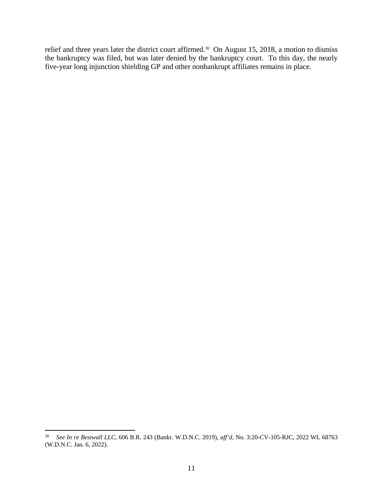relief and three years later the district court affirmed.<sup>30</sup> On August 15, 2018, a motion to dismiss the bankruptcy was filed, but was later denied by the bankruptcy court. To this day, the nearly five-year long injunction shielding GP and other nonbankrupt affiliates remains in place.

 <sup>30</sup> *See In re Bestwall LLC*, 606 B.R. 243 (Bankr. W.D.N.C. 2019), *aff'd*, No. 3:20-CV-105-RJC, 2022 WL 68763 (W.D.N.C. Jan. 6, 2022).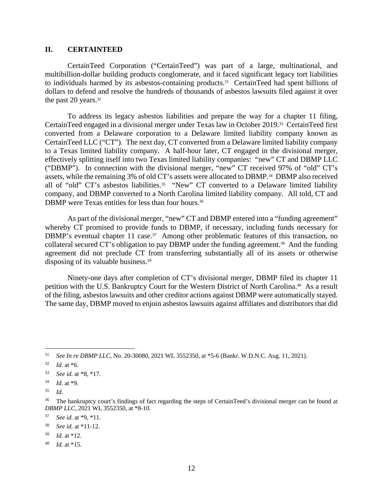#### **II. CERTAINTEED**

CertainTeed Corporation ("CertainTeed") was part of a large, multinational, and multibillion-dollar building products conglomerate, and it faced significant legacy tort liabilities to individuals harmed by its asbestos-containing products.31 CertainTeed had spent billions of dollars to defend and resolve the hundreds of thousands of asbestos lawsuits filed against it over the past 20 years.<sup>32</sup>

To address its legacy asbestos liabilities and prepare the way for a chapter 11 filing, CertainTeed engaged in a divisional merger under Texas law in October 2019.33 CertainTeed first converted from a Delaware corporation to a Delaware limited liability company known as CertainTeed LLC ("CT"). The next day, CT converted from a Delaware limited liability company to a Texas limited liability company. A half-hour later, CT engaged in the divisional merger, effectively splitting itself into two Texas limited liability companies: "new" CT and DBMP LLC ("DBMP"). In connection with the divisional merger, "new" CT received 97% of "old" CT's assets, while the remaining 3% of old CT's assets were allocated to DBMP.34 DBMP also received all of "old" CT's asbestos liabilities.<sup>35</sup> "New" CT converted to a Delaware limited liability company, and DBMP converted to a North Carolina limited liability company. All told, CT and DBMP were Texas entities for less than four hours.<sup>36</sup>

As part of the divisional merger, "new" CT and DBMP entered into a "funding agreement" whereby CT promised to provide funds to DBMP, if necessary, including funds necessary for DBMP's eventual chapter 11 case.<sup>37</sup> Among other problematic features of this transaction, no collateral secured CT's obligation to pay DBMP under the funding agreement.<sup>38</sup> And the funding agreement did not preclude CT from transferring substantially all of its assets or otherwise disposing of its valuable business.<sup>39</sup>

Ninety-one days after completion of CT's divisional merger, DBMP filed its chapter 11 petition with the U.S. Bankruptcy Court for the Western District of North Carolina.40 As a result of the filing, asbestos lawsuits and other creditor actions against DBMP were automatically stayed. The same day, DBMP moved to enjoin asbestos lawsuits against affiliates and distributors that did

- <sup>39</sup> *Id*. at \*12.
- <sup>40</sup> *Id*. at \*15.

 <sup>31</sup> *See In re DBMP LLC*, No. 20-30080, 2021 WL 3552350, at \*5-6 (Bankr. W.D.N.C. Aug. 11, 2021).

 $32$  *Id.* at  $*6$ .

<sup>33</sup> *See id.* at \*8, \*17.

<sup>34</sup> *Id*. at \*9.

<sup>35</sup> *Id*.

<sup>&</sup>lt;sup>36</sup> The bankruptcy court's findings of fact regarding the steps of CertainTeed's divisional merger can be found at *DBMP LLC*, 2021 WL 3552350, at \*8-10.

<sup>37</sup> *See id.* at \*9, \*11.

<sup>38</sup> *See id.* at \*11-12.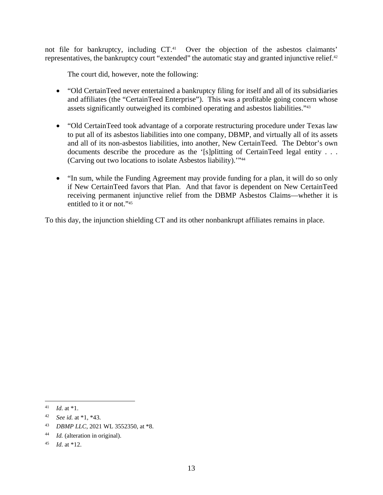not file for bankruptcy, including CT.<sup>41</sup> Over the objection of the asbestos claimants' representatives, the bankruptcy court "extended" the automatic stay and granted injunctive relief.<sup>42</sup>

The court did, however, note the following:

- "Old CertainTeed never entertained a bankruptcy filing for itself and all of its subsidiaries and affiliates (the "CertainTeed Enterprise"). This was a profitable going concern whose assets significantly outweighed its combined operating and asbestos liabilities."43
- "Old CertainTeed took advantage of a corporate restructuring procedure under Texas law to put all of its asbestos liabilities into one company, DBMP, and virtually all of its assets and all of its non-asbestos liabilities, into another, New CertainTeed. The Debtor's own documents describe the procedure as the '[s]plitting of CertainTeed legal entity . . . (Carving out two locations to isolate Asbestos liability).'"44
- "In sum, while the Funding Agreement may provide funding for a plan, it will do so only if New CertainTeed favors that Plan. And that favor is dependent on New CertainTeed receiving permanent injunctive relief from the DBMP Asbestos Claims—whether it is entitled to it or not."<sup>45</sup>

To this day, the injunction shielding CT and its other nonbankrupt affiliates remains in place.

 <sup>41</sup> *Id*. at \*1.

<sup>42</sup> *See id.* at \*1, \*43.

<sup>43</sup> *DBMP LLC*, 2021 WL 3552350, at \*8.

<sup>44</sup> *Id.* (alteration in original).

<sup>45</sup> *Id*. at \*12.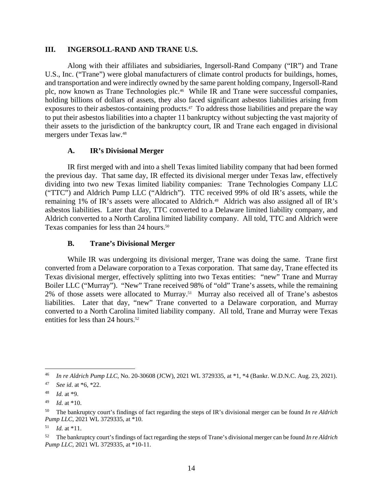## **III. INGERSOLL-RAND AND TRANE U.S.**

Along with their affiliates and subsidiaries, Ingersoll-Rand Company ("IR") and Trane U.S., Inc. ("Trane") were global manufacturers of climate control products for buildings, homes, and transportation and were indirectly owned by the same parent holding company, Ingersoll-Rand plc, now known as Trane Technologies plc.<sup>46</sup> While IR and Trane were successful companies, holding billions of dollars of assets, they also faced significant asbestos liabilities arising from exposures to their asbestos-containing products.<sup>47</sup> To address those liabilities and prepare the way to put their asbestos liabilities into a chapter 11 bankruptcy without subjecting the vast majority of their assets to the jurisdiction of the bankruptcy court, IR and Trane each engaged in divisional mergers under Texas law. 48

# **A. IR's Divisional Merger**

IR first merged with and into a shell Texas limited liability company that had been formed the previous day. That same day, IR effected its divisional merger under Texas law, effectively dividing into two new Texas limited liability companies: Trane Technologies Company LLC ("TTC") and Aldrich Pump LLC ("Aldrich"). TTC received 99% of old IR's assets, while the remaining 1% of IR's assets were allocated to Aldrich.<sup>49</sup> Aldrich was also assigned all of IR's asbestos liabilities. Later that day, TTC converted to a Delaware limited liability company, and Aldrich converted to a North Carolina limited liability company. All told, TTC and Aldrich were Texas companies for less than 24 hours.<sup>50</sup>

# **B. Trane's Divisional Merger**

While IR was undergoing its divisional merger, Trane was doing the same. Trane first converted from a Delaware corporation to a Texas corporation. That same day, Trane effected its Texas divisional merger, effectively splitting into two Texas entities: "new" Trane and Murray Boiler LLC ("Murray"). "New" Trane received 98% of "old" Trane's assets, while the remaining 2% of those assets were allocated to Murray.51 Murray also received all of Trane's asbestos liabilities. Later that day, "new" Trane converted to a Delaware corporation, and Murray converted to a North Carolina limited liability company. All told, Trane and Murray were Texas entities for less than 24 hours.<sup>52</sup>

 <sup>46</sup> *In re Aldrich Pump LLC*, No. 20-30608 (JCW), 2021 WL 3729335, at \*1, \*4 (Bankr. W.D.N.C. Aug. 23, 2021).

<sup>47</sup> *See id*. at \*6, \*22.

<sup>48</sup> *Id.* at \*9.

<sup>49</sup> *Id.* at \*10.

<sup>50</sup> The bankruptcy court's findings of fact regarding the steps of IR's divisional merger can be found *In re Aldrich Pump LLC*, 2021 WL 3729335, at \*10.

 $51$  *Id.* at \*11.

<sup>52</sup> The bankruptcy court's findings of fact regarding the steps of Trane's divisional merger can be found *In re Aldrich Pump LLC*, 2021 WL 3729335, at \*10-11.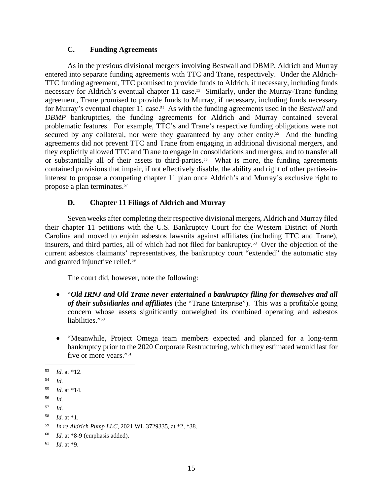## **C. Funding Agreements**

As in the previous divisional mergers involving Bestwall and DBMP, Aldrich and Murray entered into separate funding agreements with TTC and Trane, respectively. Under the Aldrich-TTC funding agreement, TTC promised to provide funds to Aldrich, if necessary, including funds necessary for Aldrich's eventual chapter 11 case.<sup>53</sup> Similarly, under the Murray-Trane funding agreement, Trane promised to provide funds to Murray, if necessary, including funds necessary for Murray's eventual chapter 11 case.<sup>54</sup> As with the funding agreements used in the *Bestwall* and *DBMP* bankruptcies, the funding agreements for Aldrich and Murray contained several problematic features. For example, TTC's and Trane's respective funding obligations were not secured by any collateral, nor were they guaranteed by any other entity.<sup>55</sup> And the funding agreements did not prevent TTC and Trane from engaging in additional divisional mergers, and they explicitly allowed TTC and Trane to engage in consolidations and mergers, and to transfer all or substantially all of their assets to third-parties. 56 What is more, the funding agreements contained provisions that impair, if not effectively disable, the ability and right of other parties-ininterest to propose a competing chapter 11 plan once Aldrich's and Murray's exclusive right to propose a plan terminates.57

# **D. Chapter 11 Filings of Aldrich and Murray**

Seven weeks after completing their respective divisional mergers, Aldrich and Murray filed their chapter 11 petitions with the U.S. Bankruptcy Court for the Western District of North Carolina and moved to enjoin asbestos lawsuits against affiliates (including TTC and Trane), insurers, and third parties, all of which had not filed for bankruptcy. 58 Over the objection of the current asbestos claimants' representatives, the bankruptcy court "extended" the automatic stay and granted injunctive relief.59

The court did, however, note the following:

- "*Old IRNJ and Old Trane never entertained a bankruptcy filing for themselves and all of their subsidiaries and affiliates* (the "Trane Enterprise"). This was a profitable going concern whose assets significantly outweighed its combined operating and asbestos liabilities."<sup>60</sup>
- "Meanwhile, Project Omega team members expected and planned for a long-term bankruptcy prior to the 2020 Corporate Restructuring, which they estimated would last for five or more years."<sup>61</sup>

 <sup>53</sup> *Id.* at \*12.

<sup>54</sup> *Id.*

<sup>55</sup> *Id*. at \*14.

<sup>56</sup> *Id*.

<sup>57</sup> *Id*.

<sup>58</sup> *Id*. at \*1.

<sup>59</sup> *In re Aldrich Pump LLC*, 2021 WL 3729335, at \*2, \*38.

<sup>60</sup> *Id*. at \*8-9 (emphasis added).

<sup>61</sup> *Id*. at \*9.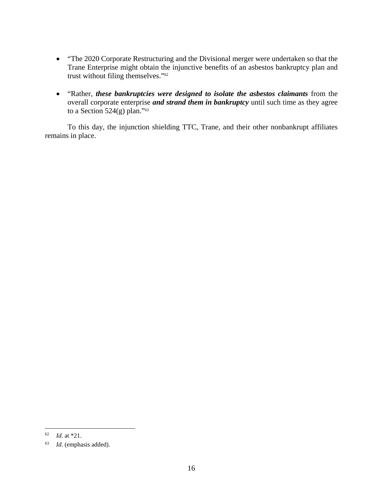- "The 2020 Corporate Restructuring and the Divisional merger were undertaken so that the Trane Enterprise might obtain the injunctive benefits of an asbestos bankruptcy plan and trust without filing themselves."62
- "Rather, *these bankruptcies were designed to isolate the asbestos claimants* from the overall corporate enterprise *and strand them in bankruptcy* until such time as they agree to a Section 524(g) plan." $63$

To this day, the injunction shielding TTC, Trane, and their other nonbankrupt affiliates remains in place.

 <sup>62</sup> *Id*. at \*21.

<sup>63</sup> *Id*. (emphasis added).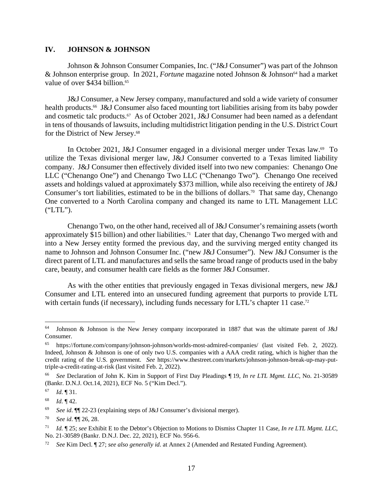#### **IV. JOHNSON & JOHNSON**

Johnson & Johnson Consumer Companies, Inc. ("J&J Consumer") was part of the Johnson & Johnson enterprise group. In 2021, *Fortune* magazine noted Johnson & Johnson<sup>64</sup> had a market value of over \$434 billion.<sup>65</sup>

J&J Consumer, a New Jersey company, manufactured and sold a wide variety of consumer health products.<sup>66</sup> J&J Consumer also faced mounting tort liabilities arising from its baby powder and cosmetic talc products.67 As of October 2021, J&J Consumer had been named as a defendant in tens of thousands of lawsuits, including multidistrict litigation pending in the U.S. District Court for the District of New Jersey.<sup>68</sup>

In October 2021, J&J Consumer engaged in a divisional merger under Texas law. 69 To utilize the Texas divisional merger law, J&J Consumer converted to a Texas limited liability company. J&J Consumer then effectively divided itself into two new companies: Chenango One LLC ("Chenango One") and Chenango Two LLC ("Chenango Two"). Chenango One received assets and holdings valued at approximately \$373 million, while also receiving the entirety of J&J Consumer's tort liabilities, estimated to be in the billions of dollars.<sup>70</sup> That same day, Chenango One converted to a North Carolina company and changed its name to LTL Management LLC ("LTL").

Chenango Two, on the other hand, received all of J&J Consumer's remaining assets (worth approximately \$15 billion) and other liabilities.<sup>71</sup> Later that day, Chenango Two merged with and into a New Jersey entity formed the previous day, and the surviving merged entity changed its name to Johnson and Johnson Consumer Inc. ("new J&J Consumer"). New J&J Consumer is the direct parent of LTL and manufactures and sells the same broad range of products used in the baby care, beauty, and consumer health care fields as the former J&J Consumer.

As with the other entities that previously engaged in Texas divisional mergers, new J&J Consumer and LTL entered into an unsecured funding agreement that purports to provide LTL with certain funds (if necessary), including funds necessary for LTL's chapter 11 case.<sup>72</sup>

 <sup>64</sup> Johnson & Johnson is the New Jersey company incorporated in 1887 that was the ultimate parent of J&J Consumer.

<sup>65</sup> https://fortune.com/company/johnson-johnson/worlds-most-admired-companies/ (last visited Feb. 2, 2022). Indeed, Johnson & Johnson is one of only two U.S. companies with a AAA credit rating, which is higher than the credit rating of the U.S. government. *See* https://www.thestreet.com/markets/johnson-johnson-break-up-may-puttriple-a-credit-rating-at-risk (last visited Feb. 2, 2022).

<sup>66</sup> *See* Declaration of John K. Kim in Support of First Day Pleadings ¶ 19, *In re LTL Mgmt. LLC*, No. 21-30589 (Bankr. D.N.J. Oct.14, 2021), ECF No. 5 ("Kim Decl.").

<sup>67</sup> *Id*. ¶ 31.

<sup>68</sup> *Id*. ¶ 42.

<sup>69</sup> *See id*. ¶¶ 22-23 (explaining steps of J&J Consumer's divisional merger).

<sup>70</sup> *See id*. ¶¶ 26, 28.

<sup>71</sup> *Id.* ¶ 25; *see* Exhibit E to the Debtor's Objection to Motions to Dismiss Chapter 11 Case, *In re LTL Mgmt. LLC*, No. 21-30589 (Bankr. D.N.J. Dec. 22, 2021), ECF No. 956-6.

<sup>72</sup> *See* Kim Decl. ¶ 27; *see also generally id*. at Annex 2 (Amended and Restated Funding Agreement).